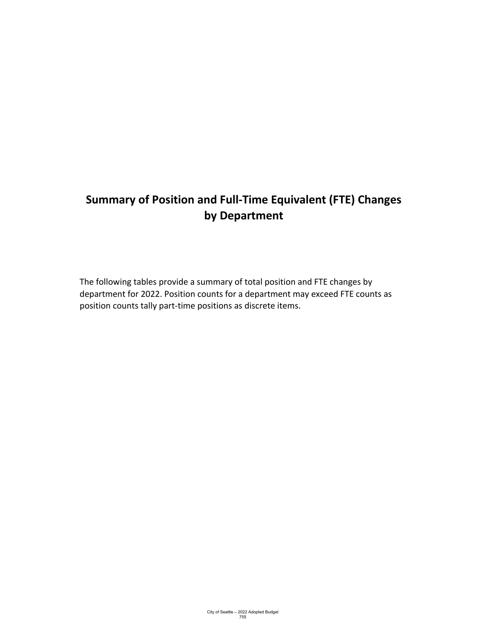# **Summary of Position and Full-Time Equivalent (FTE) Changes by Department**

The following tables provide a summary of total position and FTE changes by department for 2022. Position counts for a department may exceed FTE counts as position counts tally part-time positions as discrete items.

City of Seattle – 2022 Adopted Budget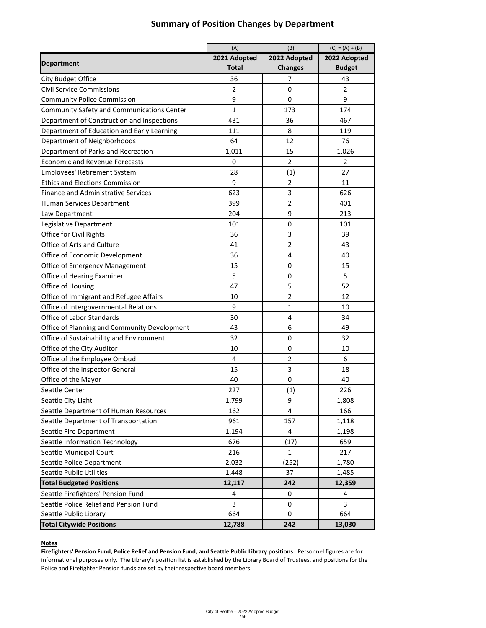### (A)  $(B)$  (B)  $(C) = (A) + (B)$ **Department 2021 Adopted Total 2022 Adopted Changes 2022 Adopted Budget** | 36 | 7 | 43 Civil Service Commissions **2** 0 2 2 Community Police Commission **1** 9 0 0 9 Community Safety and Communications Center 1 173 174 Department of Construction and Inspections 1 431 and 467 Department of Education and Early Learning 111 11 11 8 119 Department of Neighborhoods and the set of the set of the set of the set of the set of the set of the set of the set of the set of the set of the set of the set of the set of the set of the set of the set of the set of the Department of Parks and Recreation 1,011 1,011 15 1,026 Economic and Revenue Forecasts 0 2 2 Employees' Retirement System **1** 28 (1) 27 Ethics and Elections Commission 1 9 11 2 11 Finance and Administrative Services **623** 1 626 Human Services Department 1 1 399 2 399 2 301 Law Department 204 204 9 213 Legislative Department 101 101 101 101 101 Office for Civil Rights 39 Office of Arts and Culture 1 1 41 43 Office of Economic Development 1 36 4 40 Office of Emergency Management 15 15 15 0 15 Office of Hearing Examiner **1** 5 0 5 Office of Housing 47 5 52 Office of Immigrant and Refugee Affairs 10 10 12 12 12 Office of Intergovernmental Relations 1 1 1 9 1 1 10 Office of Labor Standards 30 4 34 Office of Planning and Community Development | 43 | 6 | 49 Office of Sustainability and Environment 1 32 0 0 32 Office of the City Auditor **10** 10 10 10 10 Office of the Employee Ombud 1 4 2 6 Office of the Inspector General 15 15 18 Office of the Mayor **40** and the Mayor **40** and the Mayor **40** and the Mayor **40** and the Mayor **40** Seattle Center 227 (1) 226 Seattle City Light 1,799 1 1,808 Seattle Department of Human Resources 162 162 164 166 Seattle Department of Transportation 1961 157 1,118 Seattle Fire Department 1,194 1,194 4 1,198 Seattle Information Technology (17)  $\vert$  659 Seattle Municipal Court **216** 1 217 Seattle Police Department 1 2,032 (252) 1 3,780

### **Summary of Position Changes by Department**

| <b>Total Budgeted Positions</b>        | 12,117 | 242 | 12,359 |
|----------------------------------------|--------|-----|--------|
| Seattle Firefighters' Pension Fund     |        |     |        |
| Seattle Police Relief and Pension Fund |        |     |        |
| Seattle Public Library                 | 664    |     | 664    |
| <b>Total Citywide Positions</b>        | 12,788 | 242 | 13,030 |

Seattle Public Utilities 1,448 1,448 1,448 1,485

#### **Notes**

**Firefighters' Pension Fund, Police Relief and Pension Fund, and Seattle Public Library positions:** Personnel figures are for informational purposes only. The Library's position list is established by the Library Board of Trustees, and positions for the Police and Firefighter Pension funds are set by their respective board members.